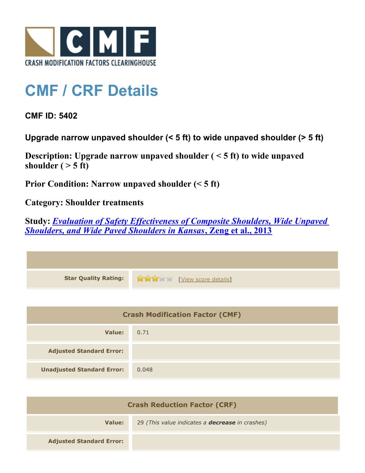

## **CMF / CRF Details**

**CMF ID: 5402**

**Upgrade narrow unpaved shoulder (< 5 ft) to wide unpaved shoulder (> 5 ft)**

**Description: Upgrade narrow unpaved shoulder ( < 5 ft) to wide unpaved** shoulder  $($  > 5 ft)

**Prior Condition: Narrow unpaved shoulder (< 5 ft)**

**Category: Shoulder treatments**

**Study:** *[Evaluation of Safety Effectiveness of Composite Shoulders, Wide Unpaved](http://www.cmfclearinghouse.org/study_detail.cfm?stid=340) [Shoulders, and Wide Paved Shoulders in Kansas](http://www.cmfclearinghouse.org/study_detail.cfm?stid=340)***[, Zeng et al., 2013](http://www.cmfclearinghouse.org/study_detail.cfm?stid=340)**

| <b>Star Quality Rating:</b> | <b>THE EXAMPLE EXAMPLE IN THE EXAMPLE SCOTE details</b> |
|-----------------------------|---------------------------------------------------------|

| <b>Crash Modification Factor (CMF)</b> |       |
|----------------------------------------|-------|
| Value:                                 | 0.71  |
| <b>Adjusted Standard Error:</b>        |       |
| <b>Unadjusted Standard Error:</b>      | 0.048 |

| <b>Crash Reduction Factor (CRF)</b> |                                                        |
|-------------------------------------|--------------------------------------------------------|
| Value:                              | 29 (This value indicates a <b>decrease</b> in crashes) |
| <b>Adjusted Standard Error:</b>     |                                                        |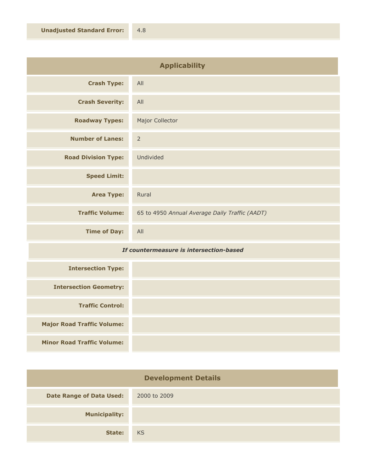| <b>Applicability</b>       |                                                |
|----------------------------|------------------------------------------------|
| <b>Crash Type:</b>         | All                                            |
| <b>Crash Severity:</b>     | All                                            |
| <b>Roadway Types:</b>      | Major Collector                                |
| <b>Number of Lanes:</b>    | $\overline{2}$                                 |
| <b>Road Division Type:</b> | Undivided                                      |
| <b>Speed Limit:</b>        |                                                |
| <b>Area Type:</b>          | Rural                                          |
| <b>Traffic Volume:</b>     | 65 to 4950 Annual Average Daily Traffic (AADT) |
| <b>Time of Day:</b>        | All                                            |

## *If countermeasure is intersection-based*

| <b>Intersection Type:</b>         |  |
|-----------------------------------|--|
| <b>Intersection Geometry:</b>     |  |
| <b>Traffic Control:</b>           |  |
| <b>Major Road Traffic Volume:</b> |  |
| <b>Minor Road Traffic Volume:</b> |  |

| <b>Development Details</b>      |              |
|---------------------------------|--------------|
| <b>Date Range of Data Used:</b> | 2000 to 2009 |
| <b>Municipality:</b>            |              |
| State:                          | KS           |